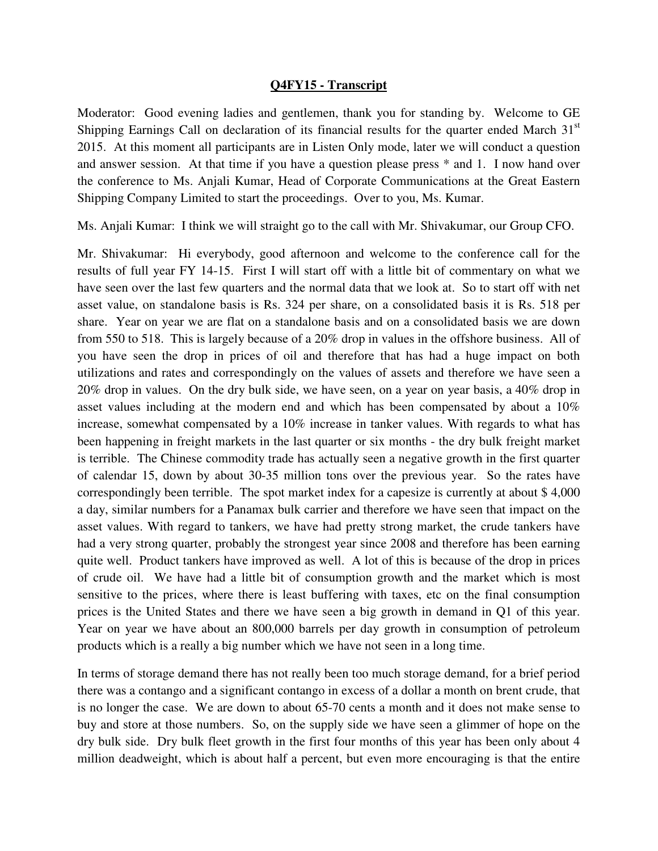## **Q4FY15 - Transcript**

Moderator: Good evening ladies and gentlemen, thank you for standing by. Welcome to GE Shipping Earnings Call on declaration of its financial results for the quarter ended March 31<sup>st</sup> 2015. At this moment all participants are in Listen Only mode, later we will conduct a question and answer session. At that time if you have a question please press \* and 1. I now hand over the conference to Ms. Anjali Kumar, Head of Corporate Communications at the Great Eastern Shipping Company Limited to start the proceedings. Over to you, Ms. Kumar.

Ms. Anjali Kumar: I think we will straight go to the call with Mr. Shivakumar, our Group CFO.

Mr. Shivakumar: Hi everybody, good afternoon and welcome to the conference call for the results of full year FY 14-15. First I will start off with a little bit of commentary on what we have seen over the last few quarters and the normal data that we look at. So to start off with net asset value, on standalone basis is Rs. 324 per share, on a consolidated basis it is Rs. 518 per share. Year on year we are flat on a standalone basis and on a consolidated basis we are down from 550 to 518. This is largely because of a 20% drop in values in the offshore business. All of you have seen the drop in prices of oil and therefore that has had a huge impact on both utilizations and rates and correspondingly on the values of assets and therefore we have seen a 20% drop in values. On the dry bulk side, we have seen, on a year on year basis, a 40% drop in asset values including at the modern end and which has been compensated by about a 10% increase, somewhat compensated by a 10% increase in tanker values. With regards to what has been happening in freight markets in the last quarter or six months - the dry bulk freight market is terrible. The Chinese commodity trade has actually seen a negative growth in the first quarter of calendar 15, down by about 30-35 million tons over the previous year. So the rates have correspondingly been terrible. The spot market index for a capesize is currently at about \$ 4,000 a day, similar numbers for a Panamax bulk carrier and therefore we have seen that impact on the asset values. With regard to tankers, we have had pretty strong market, the crude tankers have had a very strong quarter, probably the strongest year since 2008 and therefore has been earning quite well. Product tankers have improved as well. A lot of this is because of the drop in prices of crude oil. We have had a little bit of consumption growth and the market which is most sensitive to the prices, where there is least buffering with taxes, etc on the final consumption prices is the United States and there we have seen a big growth in demand in Q1 of this year. Year on year we have about an 800,000 barrels per day growth in consumption of petroleum products which is a really a big number which we have not seen in a long time.

In terms of storage demand there has not really been too much storage demand, for a brief period there was a contango and a significant contango in excess of a dollar a month on brent crude, that is no longer the case. We are down to about 65-70 cents a month and it does not make sense to buy and store at those numbers. So, on the supply side we have seen a glimmer of hope on the dry bulk side. Dry bulk fleet growth in the first four months of this year has been only about 4 million deadweight, which is about half a percent, but even more encouraging is that the entire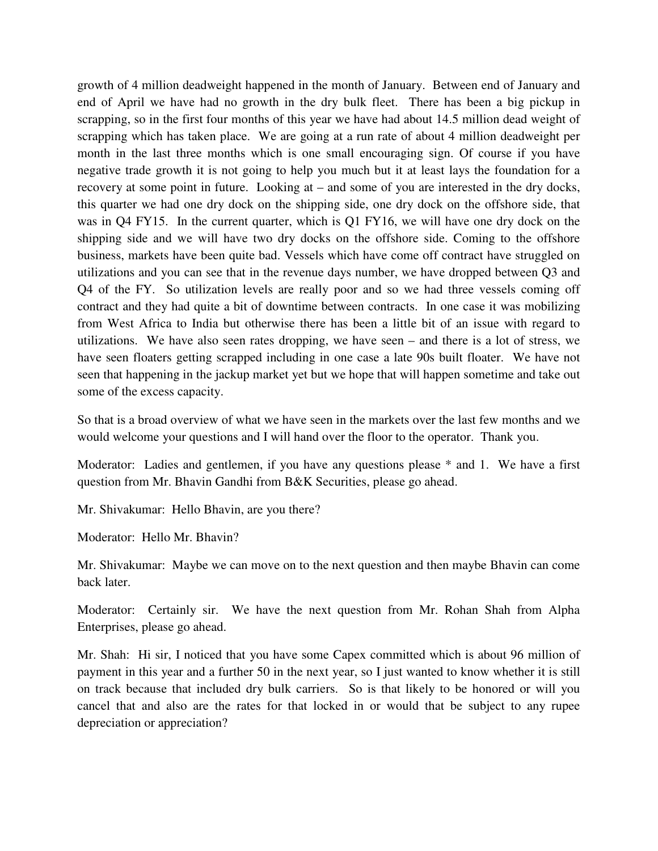growth of 4 million deadweight happened in the month of January. Between end of January and end of April we have had no growth in the dry bulk fleet. There has been a big pickup in scrapping, so in the first four months of this year we have had about 14.5 million dead weight of scrapping which has taken place. We are going at a run rate of about 4 million deadweight per month in the last three months which is one small encouraging sign. Of course if you have negative trade growth it is not going to help you much but it at least lays the foundation for a recovery at some point in future. Looking at – and some of you are interested in the dry docks, this quarter we had one dry dock on the shipping side, one dry dock on the offshore side, that was in Q4 FY15. In the current quarter, which is Q1 FY16, we will have one dry dock on the shipping side and we will have two dry docks on the offshore side. Coming to the offshore business, markets have been quite bad. Vessels which have come off contract have struggled on utilizations and you can see that in the revenue days number, we have dropped between Q3 and Q4 of the FY. So utilization levels are really poor and so we had three vessels coming off contract and they had quite a bit of downtime between contracts. In one case it was mobilizing from West Africa to India but otherwise there has been a little bit of an issue with regard to utilizations. We have also seen rates dropping, we have seen – and there is a lot of stress, we have seen floaters getting scrapped including in one case a late 90s built floater. We have not seen that happening in the jackup market yet but we hope that will happen sometime and take out some of the excess capacity.

So that is a broad overview of what we have seen in the markets over the last few months and we would welcome your questions and I will hand over the floor to the operator. Thank you.

Moderator: Ladies and gentlemen, if you have any questions please \* and 1. We have a first question from Mr. Bhavin Gandhi from B&K Securities, please go ahead.

Mr. Shivakumar: Hello Bhavin, are you there?

Moderator: Hello Mr. Bhavin?

Mr. Shivakumar: Maybe we can move on to the next question and then maybe Bhavin can come back later.

Moderator: Certainly sir. We have the next question from Mr. Rohan Shah from Alpha Enterprises, please go ahead.

Mr. Shah: Hi sir, I noticed that you have some Capex committed which is about 96 million of payment in this year and a further 50 in the next year, so I just wanted to know whether it is still on track because that included dry bulk carriers. So is that likely to be honored or will you cancel that and also are the rates for that locked in or would that be subject to any rupee depreciation or appreciation?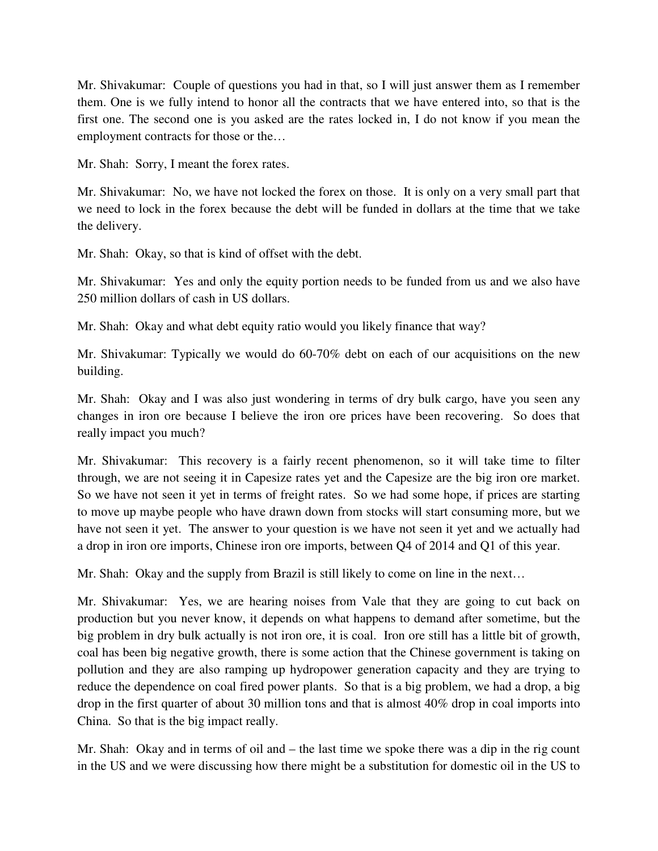Mr. Shivakumar: Couple of questions you had in that, so I will just answer them as I remember them. One is we fully intend to honor all the contracts that we have entered into, so that is the first one. The second one is you asked are the rates locked in, I do not know if you mean the employment contracts for those or the…

Mr. Shah: Sorry, I meant the forex rates.

Mr. Shivakumar: No, we have not locked the forex on those. It is only on a very small part that we need to lock in the forex because the debt will be funded in dollars at the time that we take the delivery.

Mr. Shah: Okay, so that is kind of offset with the debt.

Mr. Shivakumar: Yes and only the equity portion needs to be funded from us and we also have 250 million dollars of cash in US dollars.

Mr. Shah: Okay and what debt equity ratio would you likely finance that way?

Mr. Shivakumar: Typically we would do 60-70% debt on each of our acquisitions on the new building.

Mr. Shah: Okay and I was also just wondering in terms of dry bulk cargo, have you seen any changes in iron ore because I believe the iron ore prices have been recovering. So does that really impact you much?

Mr. Shivakumar: This recovery is a fairly recent phenomenon, so it will take time to filter through, we are not seeing it in Capesize rates yet and the Capesize are the big iron ore market. So we have not seen it yet in terms of freight rates. So we had some hope, if prices are starting to move up maybe people who have drawn down from stocks will start consuming more, but we have not seen it yet. The answer to your question is we have not seen it yet and we actually had a drop in iron ore imports, Chinese iron ore imports, between Q4 of 2014 and Q1 of this year.

Mr. Shah: Okay and the supply from Brazil is still likely to come on line in the next…

Mr. Shivakumar: Yes, we are hearing noises from Vale that they are going to cut back on production but you never know, it depends on what happens to demand after sometime, but the big problem in dry bulk actually is not iron ore, it is coal. Iron ore still has a little bit of growth, coal has been big negative growth, there is some action that the Chinese government is taking on pollution and they are also ramping up hydropower generation capacity and they are trying to reduce the dependence on coal fired power plants. So that is a big problem, we had a drop, a big drop in the first quarter of about 30 million tons and that is almost 40% drop in coal imports into China. So that is the big impact really.

Mr. Shah: Okay and in terms of oil and – the last time we spoke there was a dip in the rig count in the US and we were discussing how there might be a substitution for domestic oil in the US to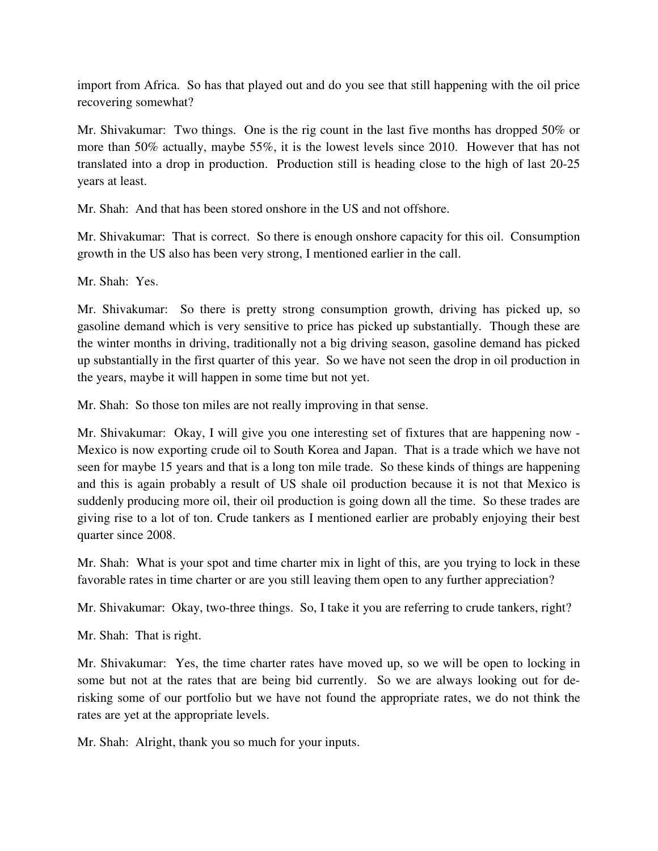import from Africa. So has that played out and do you see that still happening with the oil price recovering somewhat?

Mr. Shivakumar: Two things. One is the rig count in the last five months has dropped 50% or more than 50% actually, maybe 55%, it is the lowest levels since 2010. However that has not translated into a drop in production. Production still is heading close to the high of last 20-25 years at least.

Mr. Shah: And that has been stored onshore in the US and not offshore.

Mr. Shivakumar: That is correct. So there is enough onshore capacity for this oil. Consumption growth in the US also has been very strong, I mentioned earlier in the call.

Mr. Shah: Yes.

Mr. Shivakumar: So there is pretty strong consumption growth, driving has picked up, so gasoline demand which is very sensitive to price has picked up substantially. Though these are the winter months in driving, traditionally not a big driving season, gasoline demand has picked up substantially in the first quarter of this year. So we have not seen the drop in oil production in the years, maybe it will happen in some time but not yet.

Mr. Shah: So those ton miles are not really improving in that sense.

Mr. Shivakumar: Okay, I will give you one interesting set of fixtures that are happening now - Mexico is now exporting crude oil to South Korea and Japan. That is a trade which we have not seen for maybe 15 years and that is a long ton mile trade. So these kinds of things are happening and this is again probably a result of US shale oil production because it is not that Mexico is suddenly producing more oil, their oil production is going down all the time. So these trades are giving rise to a lot of ton. Crude tankers as I mentioned earlier are probably enjoying their best quarter since 2008.

Mr. Shah: What is your spot and time charter mix in light of this, are you trying to lock in these favorable rates in time charter or are you still leaving them open to any further appreciation?

Mr. Shivakumar: Okay, two-three things. So, I take it you are referring to crude tankers, right?

Mr. Shah: That is right.

Mr. Shivakumar: Yes, the time charter rates have moved up, so we will be open to locking in some but not at the rates that are being bid currently. So we are always looking out for derisking some of our portfolio but we have not found the appropriate rates, we do not think the rates are yet at the appropriate levels.

Mr. Shah: Alright, thank you so much for your inputs.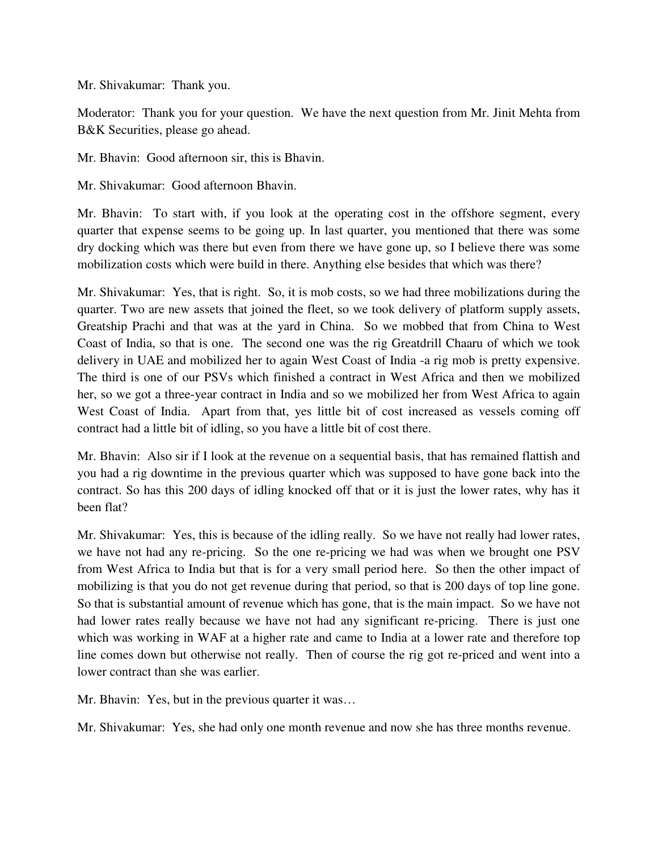Mr. Shivakumar: Thank you.

Moderator: Thank you for your question. We have the next question from Mr. Jinit Mehta from B&K Securities, please go ahead.

Mr. Bhavin: Good afternoon sir, this is Bhavin.

Mr. Shivakumar: Good afternoon Bhavin.

Mr. Bhavin: To start with, if you look at the operating cost in the offshore segment, every quarter that expense seems to be going up. In last quarter, you mentioned that there was some dry docking which was there but even from there we have gone up, so I believe there was some mobilization costs which were build in there. Anything else besides that which was there?

Mr. Shivakumar: Yes, that is right. So, it is mob costs, so we had three mobilizations during the quarter. Two are new assets that joined the fleet, so we took delivery of platform supply assets, Greatship Prachi and that was at the yard in China. So we mobbed that from China to West Coast of India, so that is one. The second one was the rig Greatdrill Chaaru of which we took delivery in UAE and mobilized her to again West Coast of India -a rig mob is pretty expensive. The third is one of our PSVs which finished a contract in West Africa and then we mobilized her, so we got a three-year contract in India and so we mobilized her from West Africa to again West Coast of India. Apart from that, yes little bit of cost increased as vessels coming off contract had a little bit of idling, so you have a little bit of cost there.

Mr. Bhavin: Also sir if I look at the revenue on a sequential basis, that has remained flattish and you had a rig downtime in the previous quarter which was supposed to have gone back into the contract. So has this 200 days of idling knocked off that or it is just the lower rates, why has it been flat?

Mr. Shivakumar: Yes, this is because of the idling really. So we have not really had lower rates, we have not had any re-pricing. So the one re-pricing we had was when we brought one PSV from West Africa to India but that is for a very small period here. So then the other impact of mobilizing is that you do not get revenue during that period, so that is 200 days of top line gone. So that is substantial amount of revenue which has gone, that is the main impact. So we have not had lower rates really because we have not had any significant re-pricing. There is just one which was working in WAF at a higher rate and came to India at a lower rate and therefore top line comes down but otherwise not really. Then of course the rig got re-priced and went into a lower contract than she was earlier.

Mr. Bhavin: Yes, but in the previous quarter it was…

Mr. Shivakumar: Yes, she had only one month revenue and now she has three months revenue.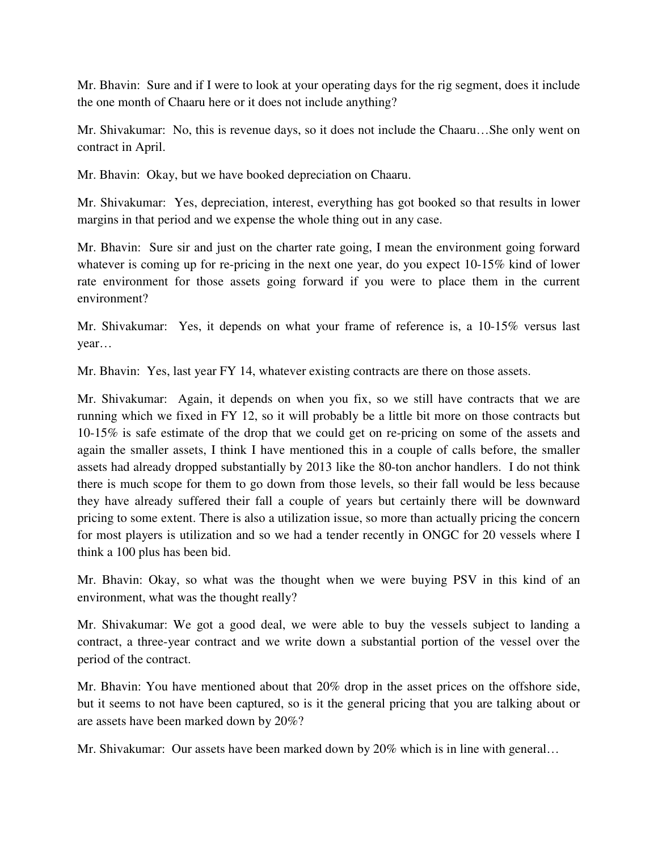Mr. Bhavin: Sure and if I were to look at your operating days for the rig segment, does it include the one month of Chaaru here or it does not include anything?

Mr. Shivakumar: No, this is revenue days, so it does not include the Chaaru…She only went on contract in April.

Mr. Bhavin: Okay, but we have booked depreciation on Chaaru.

Mr. Shivakumar: Yes, depreciation, interest, everything has got booked so that results in lower margins in that period and we expense the whole thing out in any case.

Mr. Bhavin: Sure sir and just on the charter rate going, I mean the environment going forward whatever is coming up for re-pricing in the next one year, do you expect 10-15% kind of lower rate environment for those assets going forward if you were to place them in the current environment?

Mr. Shivakumar: Yes, it depends on what your frame of reference is, a 10-15% versus last year…

Mr. Bhavin: Yes, last year FY 14, whatever existing contracts are there on those assets.

Mr. Shivakumar: Again, it depends on when you fix, so we still have contracts that we are running which we fixed in FY 12, so it will probably be a little bit more on those contracts but 10-15% is safe estimate of the drop that we could get on re-pricing on some of the assets and again the smaller assets, I think I have mentioned this in a couple of calls before, the smaller assets had already dropped substantially by 2013 like the 80-ton anchor handlers. I do not think there is much scope for them to go down from those levels, so their fall would be less because they have already suffered their fall a couple of years but certainly there will be downward pricing to some extent. There is also a utilization issue, so more than actually pricing the concern for most players is utilization and so we had a tender recently in ONGC for 20 vessels where I think a 100 plus has been bid.

Mr. Bhavin: Okay, so what was the thought when we were buying PSV in this kind of an environment, what was the thought really?

Mr. Shivakumar: We got a good deal, we were able to buy the vessels subject to landing a contract, a three-year contract and we write down a substantial portion of the vessel over the period of the contract.

Mr. Bhavin: You have mentioned about that 20% drop in the asset prices on the offshore side, but it seems to not have been captured, so is it the general pricing that you are talking about or are assets have been marked down by 20%?

Mr. Shivakumar: Our assets have been marked down by 20% which is in line with general…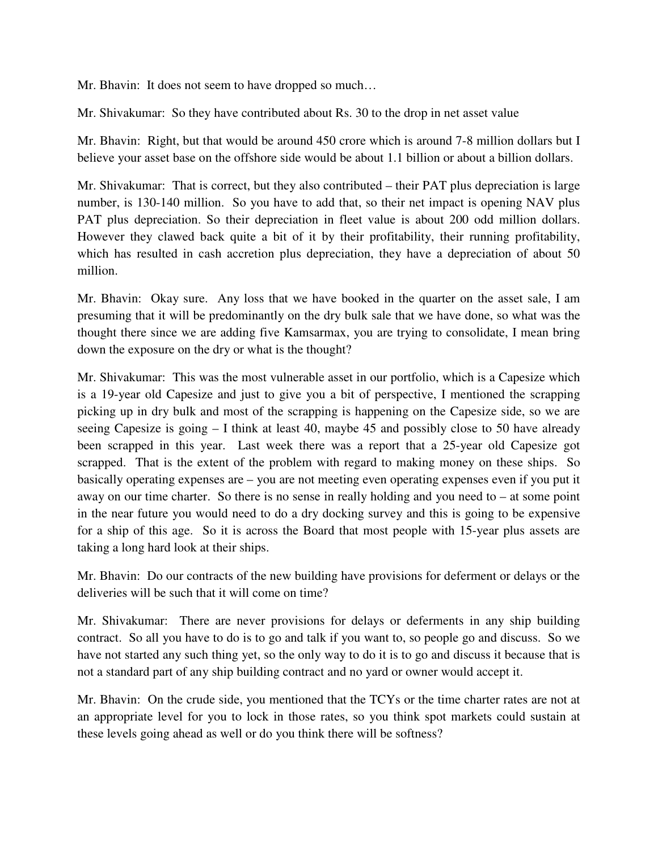Mr. Bhavin: It does not seem to have dropped so much…

Mr. Shivakumar: So they have contributed about Rs. 30 to the drop in net asset value

Mr. Bhavin: Right, but that would be around 450 crore which is around 7-8 million dollars but I believe your asset base on the offshore side would be about 1.1 billion or about a billion dollars.

Mr. Shivakumar: That is correct, but they also contributed – their PAT plus depreciation is large number, is 130-140 million. So you have to add that, so their net impact is opening NAV plus PAT plus depreciation. So their depreciation in fleet value is about 200 odd million dollars. However they clawed back quite a bit of it by their profitability, their running profitability, which has resulted in cash accretion plus depreciation, they have a depreciation of about 50 million.

Mr. Bhavin: Okay sure. Any loss that we have booked in the quarter on the asset sale, I am presuming that it will be predominantly on the dry bulk sale that we have done, so what was the thought there since we are adding five Kamsarmax, you are trying to consolidate, I mean bring down the exposure on the dry or what is the thought?

Mr. Shivakumar: This was the most vulnerable asset in our portfolio, which is a Capesize which is a 19-year old Capesize and just to give you a bit of perspective, I mentioned the scrapping picking up in dry bulk and most of the scrapping is happening on the Capesize side, so we are seeing Capesize is going – I think at least 40, maybe 45 and possibly close to 50 have already been scrapped in this year. Last week there was a report that a 25-year old Capesize got scrapped. That is the extent of the problem with regard to making money on these ships. So basically operating expenses are – you are not meeting even operating expenses even if you put it away on our time charter. So there is no sense in really holding and you need to – at some point in the near future you would need to do a dry docking survey and this is going to be expensive for a ship of this age. So it is across the Board that most people with 15-year plus assets are taking a long hard look at their ships.

Mr. Bhavin: Do our contracts of the new building have provisions for deferment or delays or the deliveries will be such that it will come on time?

Mr. Shivakumar: There are never provisions for delays or deferments in any ship building contract. So all you have to do is to go and talk if you want to, so people go and discuss. So we have not started any such thing yet, so the only way to do it is to go and discuss it because that is not a standard part of any ship building contract and no yard or owner would accept it.

Mr. Bhavin: On the crude side, you mentioned that the TCYs or the time charter rates are not at an appropriate level for you to lock in those rates, so you think spot markets could sustain at these levels going ahead as well or do you think there will be softness?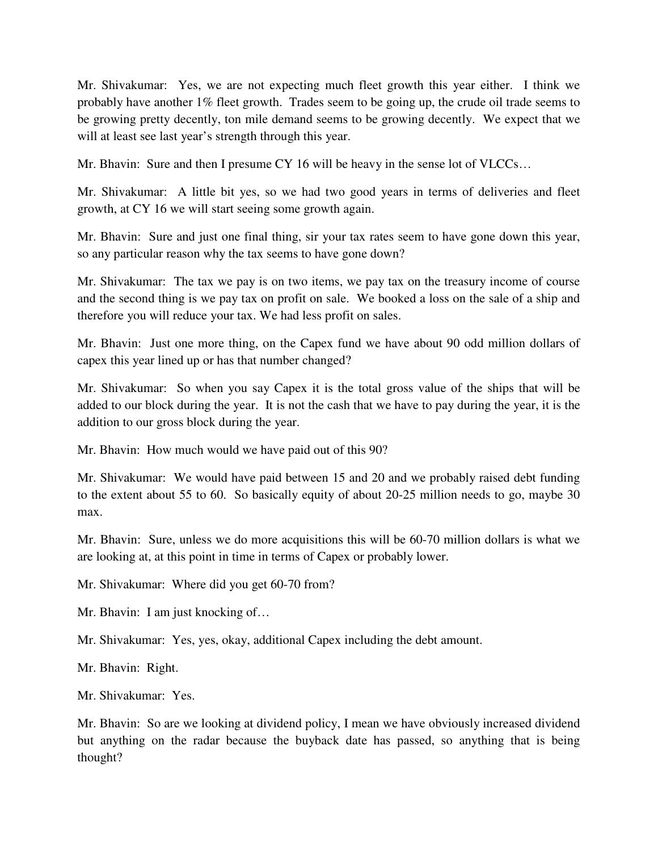Mr. Shivakumar: Yes, we are not expecting much fleet growth this year either. I think we probably have another 1% fleet growth. Trades seem to be going up, the crude oil trade seems to be growing pretty decently, ton mile demand seems to be growing decently. We expect that we will at least see last year's strength through this year.

Mr. Bhavin: Sure and then I presume CY 16 will be heavy in the sense lot of VLCCs…

Mr. Shivakumar: A little bit yes, so we had two good years in terms of deliveries and fleet growth, at CY 16 we will start seeing some growth again.

Mr. Bhavin: Sure and just one final thing, sir your tax rates seem to have gone down this year, so any particular reason why the tax seems to have gone down?

Mr. Shivakumar: The tax we pay is on two items, we pay tax on the treasury income of course and the second thing is we pay tax on profit on sale. We booked a loss on the sale of a ship and therefore you will reduce your tax. We had less profit on sales.

Mr. Bhavin: Just one more thing, on the Capex fund we have about 90 odd million dollars of capex this year lined up or has that number changed?

Mr. Shivakumar: So when you say Capex it is the total gross value of the ships that will be added to our block during the year. It is not the cash that we have to pay during the year, it is the addition to our gross block during the year.

Mr. Bhavin: How much would we have paid out of this 90?

Mr. Shivakumar: We would have paid between 15 and 20 and we probably raised debt funding to the extent about 55 to 60. So basically equity of about 20-25 million needs to go, maybe 30 max.

Mr. Bhavin: Sure, unless we do more acquisitions this will be 60-70 million dollars is what we are looking at, at this point in time in terms of Capex or probably lower.

Mr. Shivakumar: Where did you get 60-70 from?

Mr. Bhavin: I am just knocking of…

Mr. Shivakumar: Yes, yes, okay, additional Capex including the debt amount.

Mr. Bhavin: Right.

Mr. Shivakumar: Yes.

Mr. Bhavin: So are we looking at dividend policy, I mean we have obviously increased dividend but anything on the radar because the buyback date has passed, so anything that is being thought?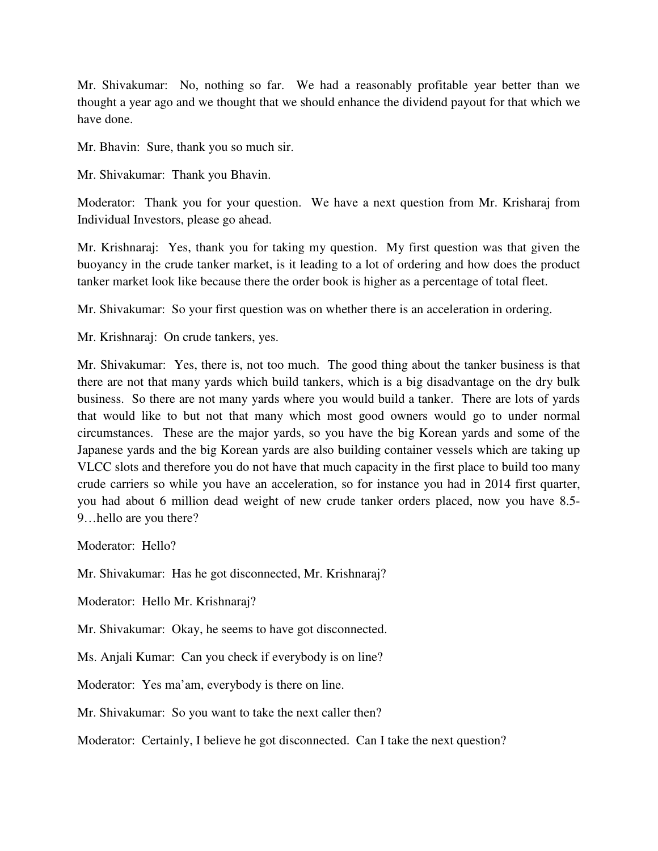Mr. Shivakumar: No, nothing so far. We had a reasonably profitable year better than we thought a year ago and we thought that we should enhance the dividend payout for that which we have done.

Mr. Bhavin: Sure, thank you so much sir.

Mr. Shivakumar: Thank you Bhavin.

Moderator: Thank you for your question. We have a next question from Mr. Krisharaj from Individual Investors, please go ahead.

Mr. Krishnaraj: Yes, thank you for taking my question. My first question was that given the buoyancy in the crude tanker market, is it leading to a lot of ordering and how does the product tanker market look like because there the order book is higher as a percentage of total fleet.

Mr. Shivakumar: So your first question was on whether there is an acceleration in ordering.

Mr. Krishnaraj: On crude tankers, yes.

Mr. Shivakumar: Yes, there is, not too much. The good thing about the tanker business is that there are not that many yards which build tankers, which is a big disadvantage on the dry bulk business. So there are not many yards where you would build a tanker. There are lots of yards that would like to but not that many which most good owners would go to under normal circumstances. These are the major yards, so you have the big Korean yards and some of the Japanese yards and the big Korean yards are also building container vessels which are taking up VLCC slots and therefore you do not have that much capacity in the first place to build too many crude carriers so while you have an acceleration, so for instance you had in 2014 first quarter, you had about 6 million dead weight of new crude tanker orders placed, now you have 8.5- 9…hello are you there?

Moderator: Hello?

Mr. Shivakumar: Has he got disconnected, Mr. Krishnaraj?

Moderator: Hello Mr. Krishnaraj?

Mr. Shivakumar: Okay, he seems to have got disconnected.

Ms. Anjali Kumar: Can you check if everybody is on line?

Moderator: Yes ma'am, everybody is there on line.

Mr. Shivakumar: So you want to take the next caller then?

Moderator: Certainly, I believe he got disconnected. Can I take the next question?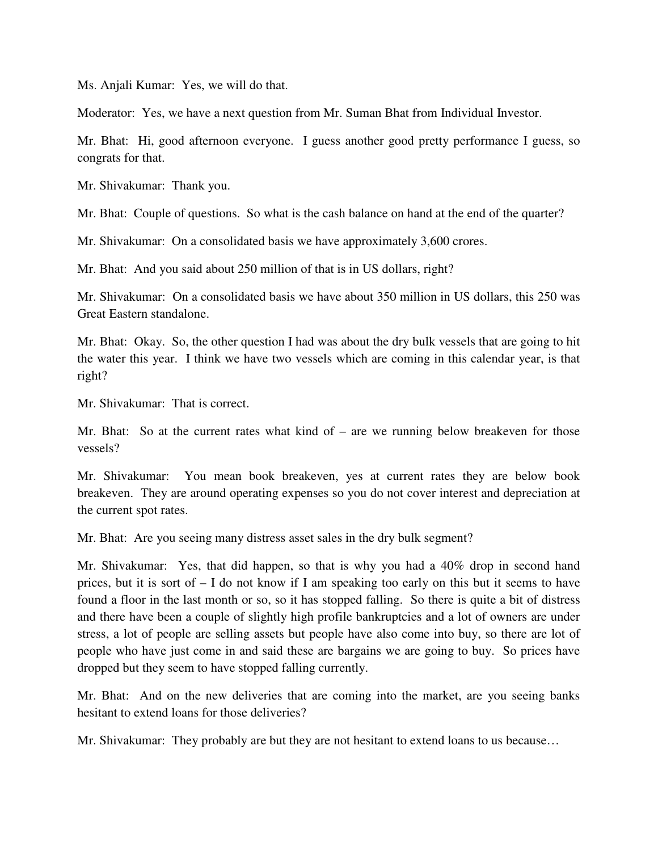Ms. Anjali Kumar: Yes, we will do that.

Moderator: Yes, we have a next question from Mr. Suman Bhat from Individual Investor.

Mr. Bhat: Hi, good afternoon everyone. I guess another good pretty performance I guess, so congrats for that.

Mr. Shivakumar: Thank you.

Mr. Bhat: Couple of questions. So what is the cash balance on hand at the end of the quarter?

Mr. Shivakumar: On a consolidated basis we have approximately 3,600 crores.

Mr. Bhat: And you said about 250 million of that is in US dollars, right?

Mr. Shivakumar: On a consolidated basis we have about 350 million in US dollars, this 250 was Great Eastern standalone.

Mr. Bhat: Okay. So, the other question I had was about the dry bulk vessels that are going to hit the water this year. I think we have two vessels which are coming in this calendar year, is that right?

Mr. Shivakumar: That is correct.

Mr. Bhat: So at the current rates what kind of – are we running below breakeven for those vessels?

Mr. Shivakumar: You mean book breakeven, yes at current rates they are below book breakeven. They are around operating expenses so you do not cover interest and depreciation at the current spot rates.

Mr. Bhat: Are you seeing many distress asset sales in the dry bulk segment?

Mr. Shivakumar: Yes, that did happen, so that is why you had a 40% drop in second hand prices, but it is sort of – I do not know if I am speaking too early on this but it seems to have found a floor in the last month or so, so it has stopped falling. So there is quite a bit of distress and there have been a couple of slightly high profile bankruptcies and a lot of owners are under stress, a lot of people are selling assets but people have also come into buy, so there are lot of people who have just come in and said these are bargains we are going to buy. So prices have dropped but they seem to have stopped falling currently.

Mr. Bhat: And on the new deliveries that are coming into the market, are you seeing banks hesitant to extend loans for those deliveries?

Mr. Shivakumar: They probably are but they are not hesitant to extend loans to us because…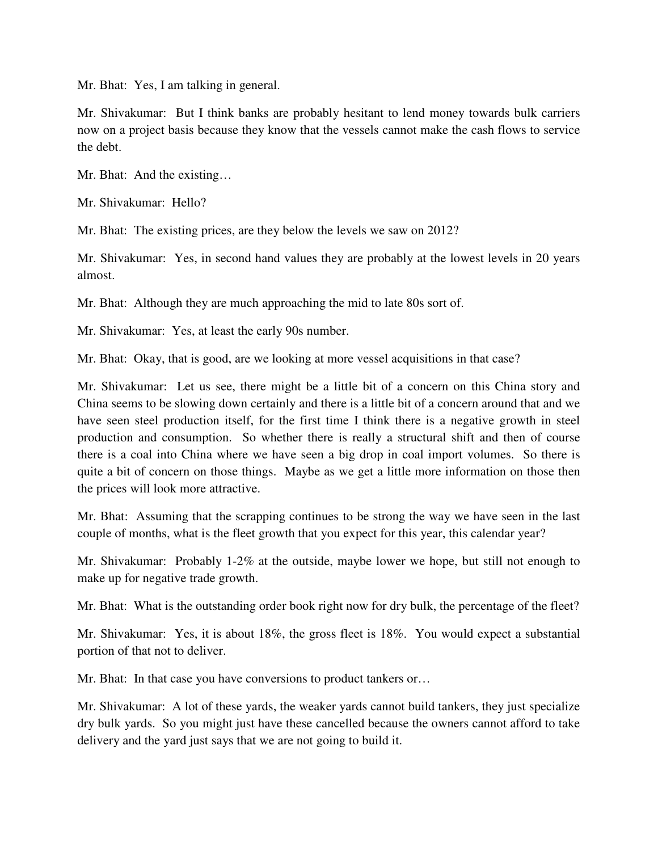Mr. Bhat: Yes, I am talking in general.

Mr. Shivakumar: But I think banks are probably hesitant to lend money towards bulk carriers now on a project basis because they know that the vessels cannot make the cash flows to service the debt.

Mr. Bhat: And the existing…

Mr. Shivakumar: Hello?

Mr. Bhat: The existing prices, are they below the levels we saw on 2012?

Mr. Shivakumar: Yes, in second hand values they are probably at the lowest levels in 20 years almost.

Mr. Bhat: Although they are much approaching the mid to late 80s sort of.

Mr. Shivakumar: Yes, at least the early 90s number.

Mr. Bhat: Okay, that is good, are we looking at more vessel acquisitions in that case?

Mr. Shivakumar: Let us see, there might be a little bit of a concern on this China story and China seems to be slowing down certainly and there is a little bit of a concern around that and we have seen steel production itself, for the first time I think there is a negative growth in steel production and consumption. So whether there is really a structural shift and then of course there is a coal into China where we have seen a big drop in coal import volumes. So there is quite a bit of concern on those things. Maybe as we get a little more information on those then the prices will look more attractive.

Mr. Bhat: Assuming that the scrapping continues to be strong the way we have seen in the last couple of months, what is the fleet growth that you expect for this year, this calendar year?

Mr. Shivakumar: Probably 1-2% at the outside, maybe lower we hope, but still not enough to make up for negative trade growth.

Mr. Bhat: What is the outstanding order book right now for dry bulk, the percentage of the fleet?

Mr. Shivakumar: Yes, it is about 18%, the gross fleet is 18%. You would expect a substantial portion of that not to deliver.

Mr. Bhat: In that case you have conversions to product tankers or…

Mr. Shivakumar: A lot of these yards, the weaker yards cannot build tankers, they just specialize dry bulk yards. So you might just have these cancelled because the owners cannot afford to take delivery and the yard just says that we are not going to build it.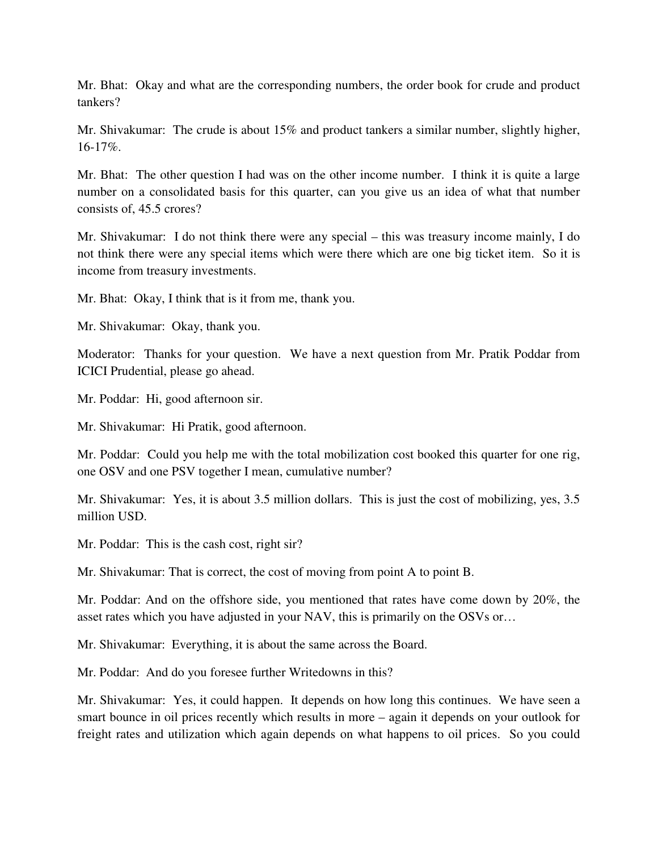Mr. Bhat: Okay and what are the corresponding numbers, the order book for crude and product tankers?

Mr. Shivakumar: The crude is about 15% and product tankers a similar number, slightly higher, 16-17%.

Mr. Bhat: The other question I had was on the other income number. I think it is quite a large number on a consolidated basis for this quarter, can you give us an idea of what that number consists of, 45.5 crores?

Mr. Shivakumar: I do not think there were any special – this was treasury income mainly, I do not think there were any special items which were there which are one big ticket item. So it is income from treasury investments.

Mr. Bhat: Okay, I think that is it from me, thank you.

Mr. Shivakumar: Okay, thank you.

Moderator: Thanks for your question. We have a next question from Mr. Pratik Poddar from ICICI Prudential, please go ahead.

Mr. Poddar: Hi, good afternoon sir.

Mr. Shivakumar: Hi Pratik, good afternoon.

Mr. Poddar: Could you help me with the total mobilization cost booked this quarter for one rig, one OSV and one PSV together I mean, cumulative number?

Mr. Shivakumar: Yes, it is about 3.5 million dollars. This is just the cost of mobilizing, yes, 3.5 million USD.

Mr. Poddar: This is the cash cost, right sir?

Mr. Shivakumar: That is correct, the cost of moving from point A to point B.

Mr. Poddar: And on the offshore side, you mentioned that rates have come down by 20%, the asset rates which you have adjusted in your NAV, this is primarily on the OSVs or…

Mr. Shivakumar: Everything, it is about the same across the Board.

Mr. Poddar: And do you foresee further Writedowns in this?

Mr. Shivakumar: Yes, it could happen. It depends on how long this continues. We have seen a smart bounce in oil prices recently which results in more – again it depends on your outlook for freight rates and utilization which again depends on what happens to oil prices. So you could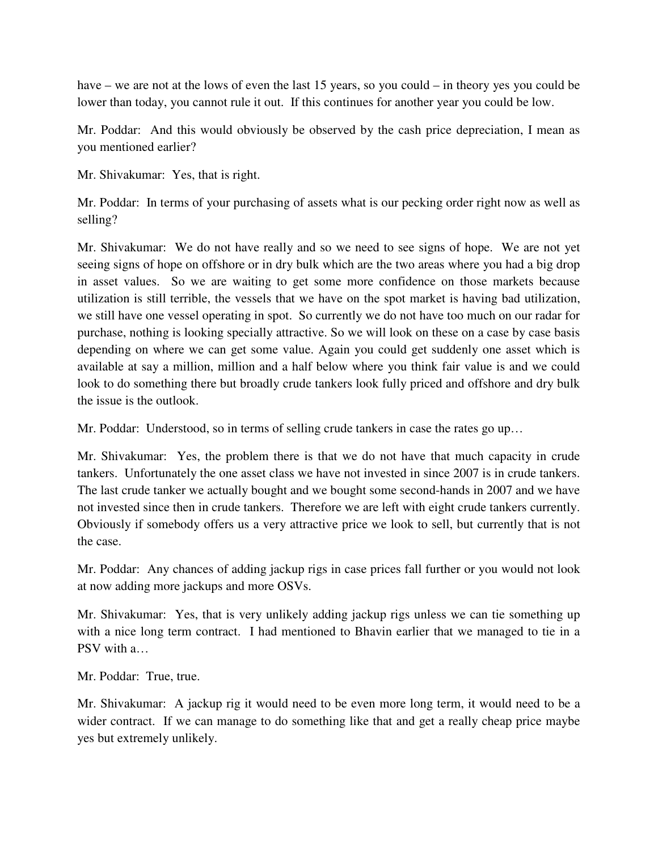have – we are not at the lows of even the last 15 years, so you could – in theory yes you could be lower than today, you cannot rule it out. If this continues for another year you could be low.

Mr. Poddar: And this would obviously be observed by the cash price depreciation, I mean as you mentioned earlier?

Mr. Shivakumar: Yes, that is right.

Mr. Poddar: In terms of your purchasing of assets what is our pecking order right now as well as selling?

Mr. Shivakumar: We do not have really and so we need to see signs of hope. We are not yet seeing signs of hope on offshore or in dry bulk which are the two areas where you had a big drop in asset values. So we are waiting to get some more confidence on those markets because utilization is still terrible, the vessels that we have on the spot market is having bad utilization, we still have one vessel operating in spot. So currently we do not have too much on our radar for purchase, nothing is looking specially attractive. So we will look on these on a case by case basis depending on where we can get some value. Again you could get suddenly one asset which is available at say a million, million and a half below where you think fair value is and we could look to do something there but broadly crude tankers look fully priced and offshore and dry bulk the issue is the outlook.

Mr. Poddar: Understood, so in terms of selling crude tankers in case the rates go up…

Mr. Shivakumar: Yes, the problem there is that we do not have that much capacity in crude tankers. Unfortunately the one asset class we have not invested in since 2007 is in crude tankers. The last crude tanker we actually bought and we bought some second-hands in 2007 and we have not invested since then in crude tankers. Therefore we are left with eight crude tankers currently. Obviously if somebody offers us a very attractive price we look to sell, but currently that is not the case.

Mr. Poddar: Any chances of adding jackup rigs in case prices fall further or you would not look at now adding more jackups and more OSVs.

Mr. Shivakumar: Yes, that is very unlikely adding jackup rigs unless we can tie something up with a nice long term contract. I had mentioned to Bhavin earlier that we managed to tie in a PSV with a…

Mr. Poddar: True, true.

Mr. Shivakumar: A jackup rig it would need to be even more long term, it would need to be a wider contract. If we can manage to do something like that and get a really cheap price maybe yes but extremely unlikely.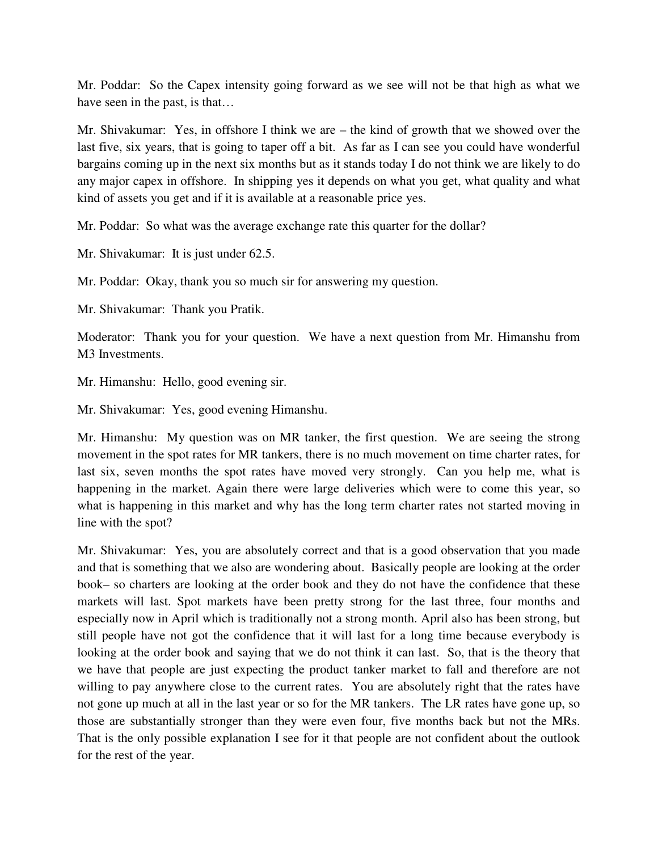Mr. Poddar: So the Capex intensity going forward as we see will not be that high as what we have seen in the past, is that…

Mr. Shivakumar: Yes, in offshore I think we are – the kind of growth that we showed over the last five, six years, that is going to taper off a bit. As far as I can see you could have wonderful bargains coming up in the next six months but as it stands today I do not think we are likely to do any major capex in offshore. In shipping yes it depends on what you get, what quality and what kind of assets you get and if it is available at a reasonable price yes.

Mr. Poddar: So what was the average exchange rate this quarter for the dollar?

Mr. Shivakumar: It is just under 62.5.

Mr. Poddar: Okay, thank you so much sir for answering my question.

Mr. Shivakumar: Thank you Pratik.

Moderator: Thank you for your question. We have a next question from Mr. Himanshu from M3 Investments.

Mr. Himanshu: Hello, good evening sir.

Mr. Shivakumar: Yes, good evening Himanshu.

Mr. Himanshu: My question was on MR tanker, the first question. We are seeing the strong movement in the spot rates for MR tankers, there is no much movement on time charter rates, for last six, seven months the spot rates have moved very strongly. Can you help me, what is happening in the market. Again there were large deliveries which were to come this year, so what is happening in this market and why has the long term charter rates not started moving in line with the spot?

Mr. Shivakumar: Yes, you are absolutely correct and that is a good observation that you made and that is something that we also are wondering about. Basically people are looking at the order book– so charters are looking at the order book and they do not have the confidence that these markets will last. Spot markets have been pretty strong for the last three, four months and especially now in April which is traditionally not a strong month. April also has been strong, but still people have not got the confidence that it will last for a long time because everybody is looking at the order book and saying that we do not think it can last. So, that is the theory that we have that people are just expecting the product tanker market to fall and therefore are not willing to pay anywhere close to the current rates. You are absolutely right that the rates have not gone up much at all in the last year or so for the MR tankers. The LR rates have gone up, so those are substantially stronger than they were even four, five months back but not the MRs. That is the only possible explanation I see for it that people are not confident about the outlook for the rest of the year.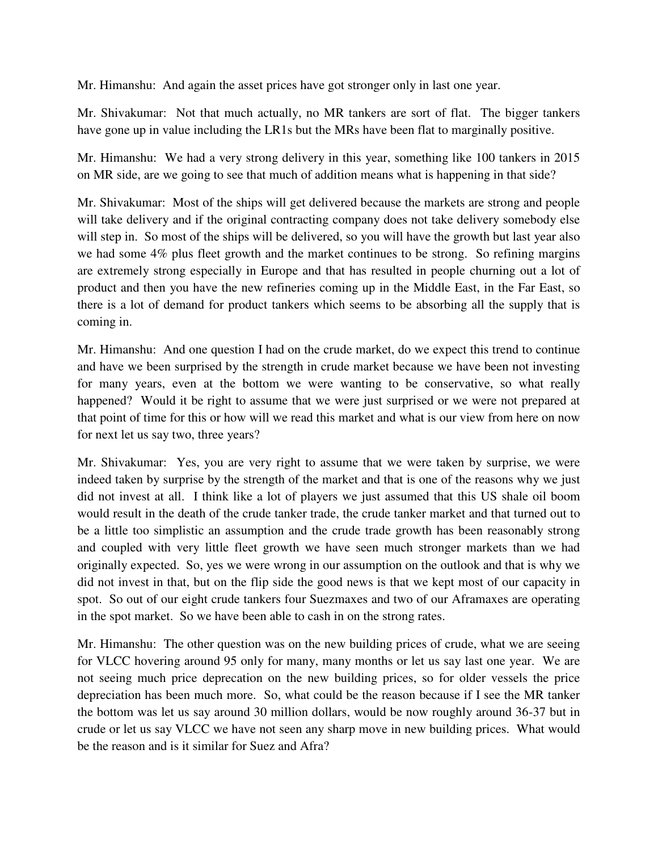Mr. Himanshu: And again the asset prices have got stronger only in last one year.

Mr. Shivakumar: Not that much actually, no MR tankers are sort of flat. The bigger tankers have gone up in value including the LR1s but the MRs have been flat to marginally positive.

Mr. Himanshu: We had a very strong delivery in this year, something like 100 tankers in 2015 on MR side, are we going to see that much of addition means what is happening in that side?

Mr. Shivakumar: Most of the ships will get delivered because the markets are strong and people will take delivery and if the original contracting company does not take delivery somebody else will step in. So most of the ships will be delivered, so you will have the growth but last year also we had some 4% plus fleet growth and the market continues to be strong. So refining margins are extremely strong especially in Europe and that has resulted in people churning out a lot of product and then you have the new refineries coming up in the Middle East, in the Far East, so there is a lot of demand for product tankers which seems to be absorbing all the supply that is coming in.

Mr. Himanshu: And one question I had on the crude market, do we expect this trend to continue and have we been surprised by the strength in crude market because we have been not investing for many years, even at the bottom we were wanting to be conservative, so what really happened? Would it be right to assume that we were just surprised or we were not prepared at that point of time for this or how will we read this market and what is our view from here on now for next let us say two, three years?

Mr. Shivakumar: Yes, you are very right to assume that we were taken by surprise, we were indeed taken by surprise by the strength of the market and that is one of the reasons why we just did not invest at all. I think like a lot of players we just assumed that this US shale oil boom would result in the death of the crude tanker trade, the crude tanker market and that turned out to be a little too simplistic an assumption and the crude trade growth has been reasonably strong and coupled with very little fleet growth we have seen much stronger markets than we had originally expected. So, yes we were wrong in our assumption on the outlook and that is why we did not invest in that, but on the flip side the good news is that we kept most of our capacity in spot. So out of our eight crude tankers four Suezmaxes and two of our Aframaxes are operating in the spot market. So we have been able to cash in on the strong rates.

Mr. Himanshu: The other question was on the new building prices of crude, what we are seeing for VLCC hovering around 95 only for many, many months or let us say last one year. We are not seeing much price deprecation on the new building prices, so for older vessels the price depreciation has been much more. So, what could be the reason because if I see the MR tanker the bottom was let us say around 30 million dollars, would be now roughly around 36-37 but in crude or let us say VLCC we have not seen any sharp move in new building prices. What would be the reason and is it similar for Suez and Afra?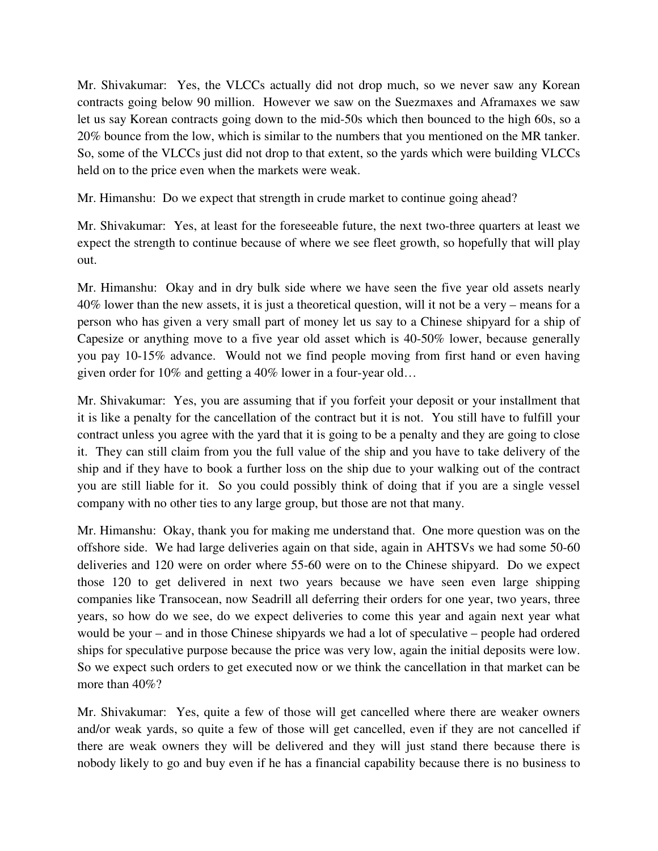Mr. Shivakumar: Yes, the VLCCs actually did not drop much, so we never saw any Korean contracts going below 90 million. However we saw on the Suezmaxes and Aframaxes we saw let us say Korean contracts going down to the mid-50s which then bounced to the high 60s, so a 20% bounce from the low, which is similar to the numbers that you mentioned on the MR tanker. So, some of the VLCCs just did not drop to that extent, so the yards which were building VLCCs held on to the price even when the markets were weak.

Mr. Himanshu: Do we expect that strength in crude market to continue going ahead?

Mr. Shivakumar: Yes, at least for the foreseeable future, the next two-three quarters at least we expect the strength to continue because of where we see fleet growth, so hopefully that will play out.

Mr. Himanshu: Okay and in dry bulk side where we have seen the five year old assets nearly 40% lower than the new assets, it is just a theoretical question, will it not be a very – means for a person who has given a very small part of money let us say to a Chinese shipyard for a ship of Capesize or anything move to a five year old asset which is 40-50% lower, because generally you pay 10-15% advance. Would not we find people moving from first hand or even having given order for 10% and getting a 40% lower in a four-year old…

Mr. Shivakumar: Yes, you are assuming that if you forfeit your deposit or your installment that it is like a penalty for the cancellation of the contract but it is not. You still have to fulfill your contract unless you agree with the yard that it is going to be a penalty and they are going to close it. They can still claim from you the full value of the ship and you have to take delivery of the ship and if they have to book a further loss on the ship due to your walking out of the contract you are still liable for it. So you could possibly think of doing that if you are a single vessel company with no other ties to any large group, but those are not that many.

Mr. Himanshu: Okay, thank you for making me understand that. One more question was on the offshore side. We had large deliveries again on that side, again in AHTSVs we had some 50-60 deliveries and 120 were on order where 55-60 were on to the Chinese shipyard. Do we expect those 120 to get delivered in next two years because we have seen even large shipping companies like Transocean, now Seadrill all deferring their orders for one year, two years, three years, so how do we see, do we expect deliveries to come this year and again next year what would be your – and in those Chinese shipyards we had a lot of speculative – people had ordered ships for speculative purpose because the price was very low, again the initial deposits were low. So we expect such orders to get executed now or we think the cancellation in that market can be more than  $40\%$ ?

Mr. Shivakumar: Yes, quite a few of those will get cancelled where there are weaker owners and/or weak yards, so quite a few of those will get cancelled, even if they are not cancelled if there are weak owners they will be delivered and they will just stand there because there is nobody likely to go and buy even if he has a financial capability because there is no business to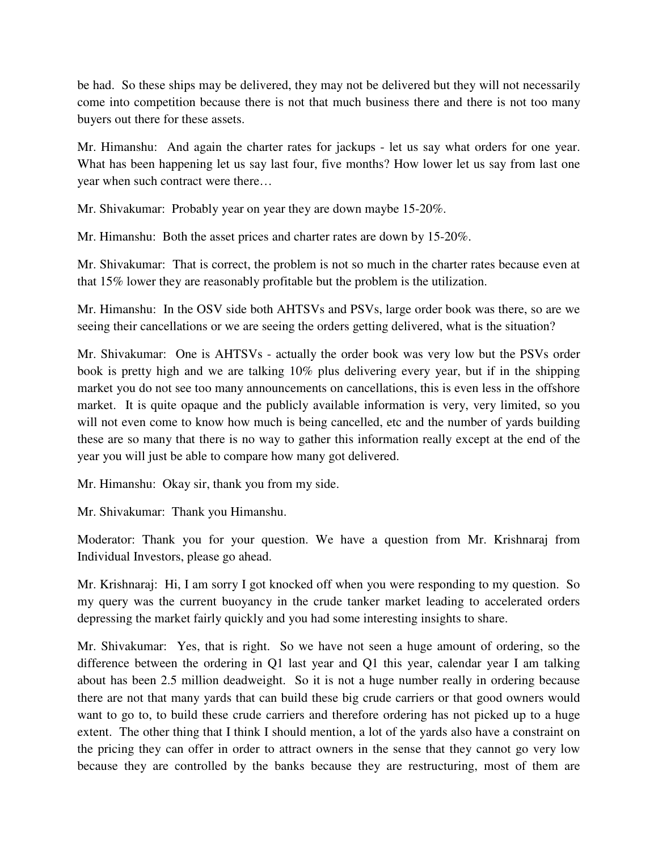be had. So these ships may be delivered, they may not be delivered but they will not necessarily come into competition because there is not that much business there and there is not too many buyers out there for these assets.

Mr. Himanshu: And again the charter rates for jackups - let us say what orders for one year. What has been happening let us say last four, five months? How lower let us say from last one year when such contract were there…

Mr. Shivakumar: Probably year on year they are down maybe 15-20%.

Mr. Himanshu: Both the asset prices and charter rates are down by 15-20%.

Mr. Shivakumar: That is correct, the problem is not so much in the charter rates because even at that 15% lower they are reasonably profitable but the problem is the utilization.

Mr. Himanshu: In the OSV side both AHTSVs and PSVs, large order book was there, so are we seeing their cancellations or we are seeing the orders getting delivered, what is the situation?

Mr. Shivakumar: One is AHTSVs - actually the order book was very low but the PSVs order book is pretty high and we are talking 10% plus delivering every year, but if in the shipping market you do not see too many announcements on cancellations, this is even less in the offshore market. It is quite opaque and the publicly available information is very, very limited, so you will not even come to know how much is being cancelled, etc and the number of yards building these are so many that there is no way to gather this information really except at the end of the year you will just be able to compare how many got delivered.

Mr. Himanshu: Okay sir, thank you from my side.

Mr. Shivakumar: Thank you Himanshu.

Moderator: Thank you for your question. We have a question from Mr. Krishnaraj from Individual Investors, please go ahead.

Mr. Krishnaraj: Hi, I am sorry I got knocked off when you were responding to my question. So my query was the current buoyancy in the crude tanker market leading to accelerated orders depressing the market fairly quickly and you had some interesting insights to share.

Mr. Shivakumar: Yes, that is right. So we have not seen a huge amount of ordering, so the difference between the ordering in Q1 last year and Q1 this year, calendar year I am talking about has been 2.5 million deadweight. So it is not a huge number really in ordering because there are not that many yards that can build these big crude carriers or that good owners would want to go to, to build these crude carriers and therefore ordering has not picked up to a huge extent. The other thing that I think I should mention, a lot of the yards also have a constraint on the pricing they can offer in order to attract owners in the sense that they cannot go very low because they are controlled by the banks because they are restructuring, most of them are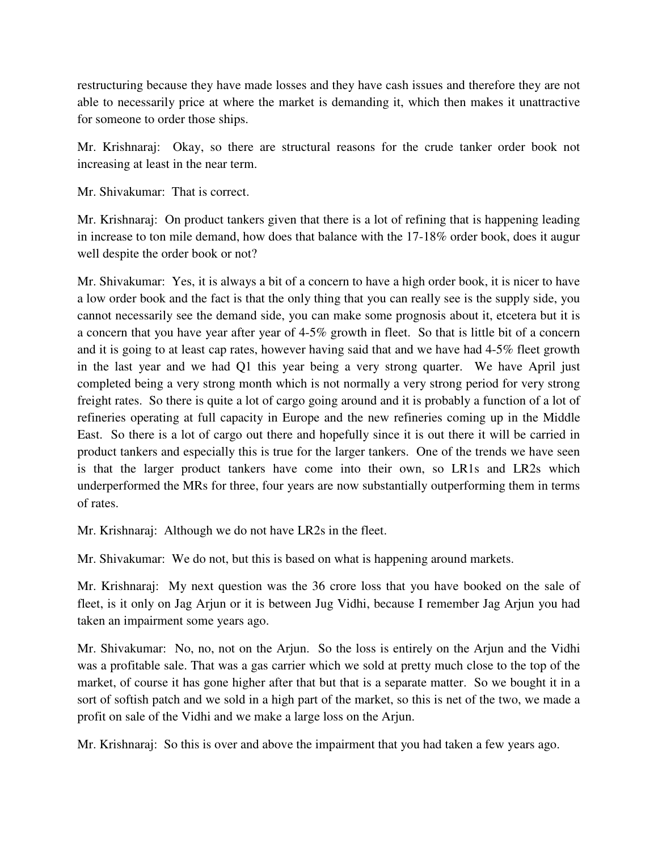restructuring because they have made losses and they have cash issues and therefore they are not able to necessarily price at where the market is demanding it, which then makes it unattractive for someone to order those ships.

Mr. Krishnaraj: Okay, so there are structural reasons for the crude tanker order book not increasing at least in the near term.

Mr. Shivakumar: That is correct.

Mr. Krishnaraj: On product tankers given that there is a lot of refining that is happening leading in increase to ton mile demand, how does that balance with the 17-18% order book, does it augur well despite the order book or not?

Mr. Shivakumar: Yes, it is always a bit of a concern to have a high order book, it is nicer to have a low order book and the fact is that the only thing that you can really see is the supply side, you cannot necessarily see the demand side, you can make some prognosis about it, etcetera but it is a concern that you have year after year of 4-5% growth in fleet. So that is little bit of a concern and it is going to at least cap rates, however having said that and we have had 4-5% fleet growth in the last year and we had Q1 this year being a very strong quarter. We have April just completed being a very strong month which is not normally a very strong period for very strong freight rates. So there is quite a lot of cargo going around and it is probably a function of a lot of refineries operating at full capacity in Europe and the new refineries coming up in the Middle East. So there is a lot of cargo out there and hopefully since it is out there it will be carried in product tankers and especially this is true for the larger tankers. One of the trends we have seen is that the larger product tankers have come into their own, so LR1s and LR2s which underperformed the MRs for three, four years are now substantially outperforming them in terms of rates.

Mr. Krishnaraj: Although we do not have LR2s in the fleet.

Mr. Shivakumar: We do not, but this is based on what is happening around markets.

Mr. Krishnaraj: My next question was the 36 crore loss that you have booked on the sale of fleet, is it only on Jag Arjun or it is between Jug Vidhi, because I remember Jag Arjun you had taken an impairment some years ago.

Mr. Shivakumar: No, no, not on the Arjun. So the loss is entirely on the Arjun and the Vidhi was a profitable sale. That was a gas carrier which we sold at pretty much close to the top of the market, of course it has gone higher after that but that is a separate matter. So we bought it in a sort of softish patch and we sold in a high part of the market, so this is net of the two, we made a profit on sale of the Vidhi and we make a large loss on the Arjun.

Mr. Krishnaraj: So this is over and above the impairment that you had taken a few years ago.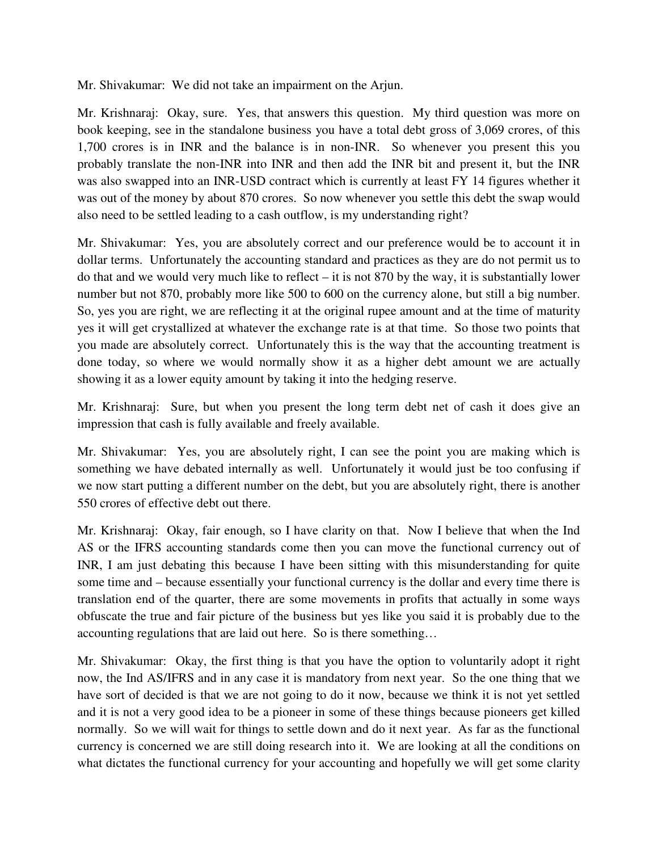Mr. Shivakumar: We did not take an impairment on the Arjun.

Mr. Krishnaraj: Okay, sure. Yes, that answers this question. My third question was more on book keeping, see in the standalone business you have a total debt gross of 3,069 crores, of this 1,700 crores is in INR and the balance is in non-INR. So whenever you present this you probably translate the non-INR into INR and then add the INR bit and present it, but the INR was also swapped into an INR-USD contract which is currently at least FY 14 figures whether it was out of the money by about 870 crores. So now whenever you settle this debt the swap would also need to be settled leading to a cash outflow, is my understanding right?

Mr. Shivakumar: Yes, you are absolutely correct and our preference would be to account it in dollar terms. Unfortunately the accounting standard and practices as they are do not permit us to do that and we would very much like to reflect – it is not 870 by the way, it is substantially lower number but not 870, probably more like 500 to 600 on the currency alone, but still a big number. So, yes you are right, we are reflecting it at the original rupee amount and at the time of maturity yes it will get crystallized at whatever the exchange rate is at that time. So those two points that you made are absolutely correct. Unfortunately this is the way that the accounting treatment is done today, so where we would normally show it as a higher debt amount we are actually showing it as a lower equity amount by taking it into the hedging reserve.

Mr. Krishnaraj: Sure, but when you present the long term debt net of cash it does give an impression that cash is fully available and freely available.

Mr. Shivakumar: Yes, you are absolutely right, I can see the point you are making which is something we have debated internally as well. Unfortunately it would just be too confusing if we now start putting a different number on the debt, but you are absolutely right, there is another 550 crores of effective debt out there.

Mr. Krishnaraj: Okay, fair enough, so I have clarity on that. Now I believe that when the Ind AS or the IFRS accounting standards come then you can move the functional currency out of INR, I am just debating this because I have been sitting with this misunderstanding for quite some time and – because essentially your functional currency is the dollar and every time there is translation end of the quarter, there are some movements in profits that actually in some ways obfuscate the true and fair picture of the business but yes like you said it is probably due to the accounting regulations that are laid out here. So is there something…

Mr. Shivakumar: Okay, the first thing is that you have the option to voluntarily adopt it right now, the Ind AS/IFRS and in any case it is mandatory from next year. So the one thing that we have sort of decided is that we are not going to do it now, because we think it is not yet settled and it is not a very good idea to be a pioneer in some of these things because pioneers get killed normally. So we will wait for things to settle down and do it next year. As far as the functional currency is concerned we are still doing research into it. We are looking at all the conditions on what dictates the functional currency for your accounting and hopefully we will get some clarity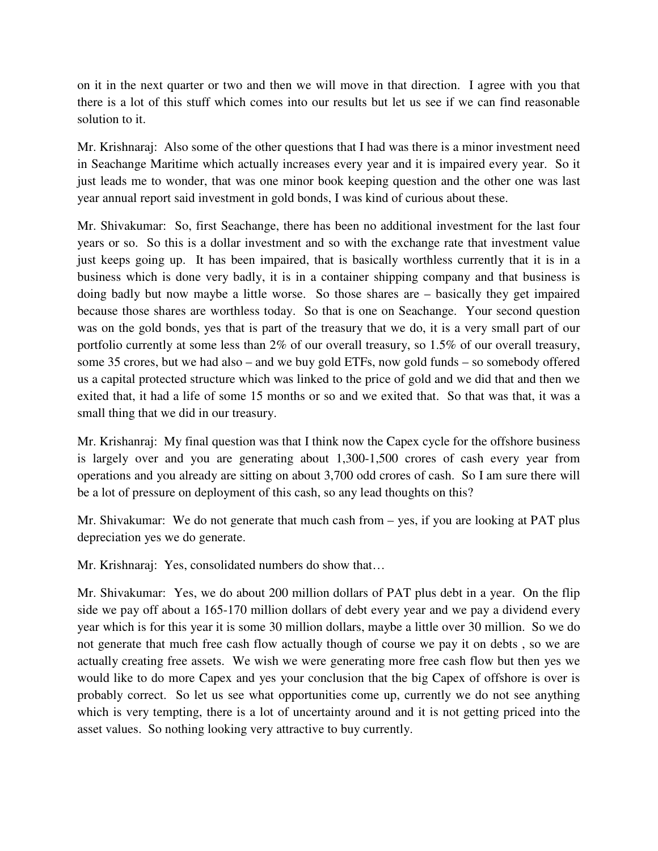on it in the next quarter or two and then we will move in that direction. I agree with you that there is a lot of this stuff which comes into our results but let us see if we can find reasonable solution to it.

Mr. Krishnaraj: Also some of the other questions that I had was there is a minor investment need in Seachange Maritime which actually increases every year and it is impaired every year. So it just leads me to wonder, that was one minor book keeping question and the other one was last year annual report said investment in gold bonds, I was kind of curious about these.

Mr. Shivakumar: So, first Seachange, there has been no additional investment for the last four years or so. So this is a dollar investment and so with the exchange rate that investment value just keeps going up. It has been impaired, that is basically worthless currently that it is in a business which is done very badly, it is in a container shipping company and that business is doing badly but now maybe a little worse. So those shares are – basically they get impaired because those shares are worthless today. So that is one on Seachange. Your second question was on the gold bonds, yes that is part of the treasury that we do, it is a very small part of our portfolio currently at some less than 2% of our overall treasury, so 1.5% of our overall treasury, some 35 crores, but we had also – and we buy gold ETFs, now gold funds – so somebody offered us a capital protected structure which was linked to the price of gold and we did that and then we exited that, it had a life of some 15 months or so and we exited that. So that was that, it was a small thing that we did in our treasury.

Mr. Krishanraj: My final question was that I think now the Capex cycle for the offshore business is largely over and you are generating about 1,300-1,500 crores of cash every year from operations and you already are sitting on about 3,700 odd crores of cash. So I am sure there will be a lot of pressure on deployment of this cash, so any lead thoughts on this?

Mr. Shivakumar: We do not generate that much cash from – yes, if you are looking at PAT plus depreciation yes we do generate.

Mr. Krishnaraj: Yes, consolidated numbers do show that…

Mr. Shivakumar: Yes, we do about 200 million dollars of PAT plus debt in a year. On the flip side we pay off about a 165-170 million dollars of debt every year and we pay a dividend every year which is for this year it is some 30 million dollars, maybe a little over 30 million. So we do not generate that much free cash flow actually though of course we pay it on debts , so we are actually creating free assets. We wish we were generating more free cash flow but then yes we would like to do more Capex and yes your conclusion that the big Capex of offshore is over is probably correct. So let us see what opportunities come up, currently we do not see anything which is very tempting, there is a lot of uncertainty around and it is not getting priced into the asset values. So nothing looking very attractive to buy currently.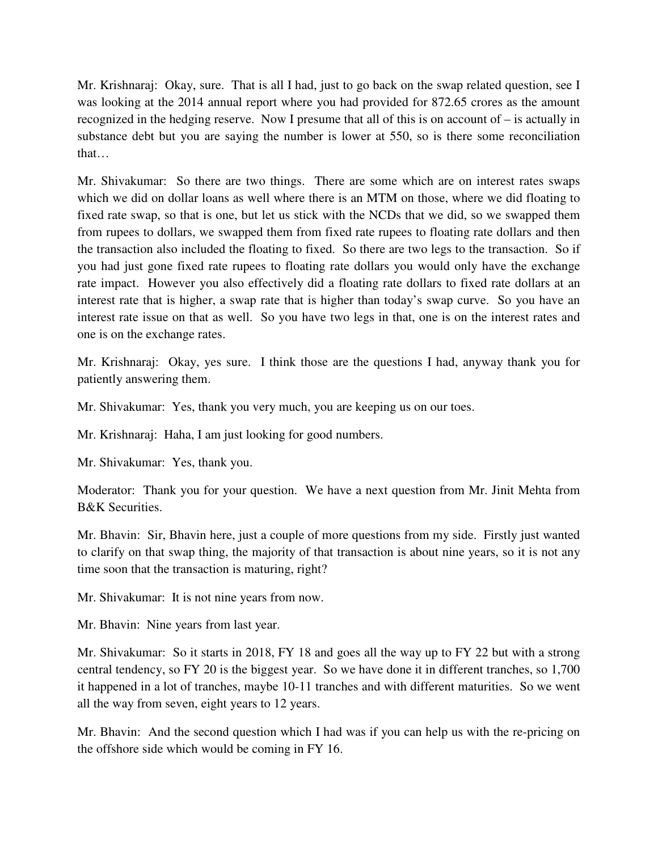Mr. Krishnaraj: Okay, sure. That is all I had, just to go back on the swap related question, see I was looking at the 2014 annual report where you had provided for 872.65 crores as the amount recognized in the hedging reserve. Now I presume that all of this is on account of – is actually in substance debt but you are saying the number is lower at 550, so is there some reconciliation that…

Mr. Shivakumar: So there are two things. There are some which are on interest rates swaps which we did on dollar loans as well where there is an MTM on those, where we did floating to fixed rate swap, so that is one, but let us stick with the NCDs that we did, so we swapped them from rupees to dollars, we swapped them from fixed rate rupees to floating rate dollars and then the transaction also included the floating to fixed. So there are two legs to the transaction. So if you had just gone fixed rate rupees to floating rate dollars you would only have the exchange rate impact. However you also effectively did a floating rate dollars to fixed rate dollars at an interest rate that is higher, a swap rate that is higher than today's swap curve. So you have an interest rate issue on that as well. So you have two legs in that, one is on the interest rates and one is on the exchange rates.

Mr. Krishnaraj: Okay, yes sure. I think those are the questions I had, anyway thank you for patiently answering them.

Mr. Shivakumar: Yes, thank you very much, you are keeping us on our toes.

Mr. Krishnaraj: Haha, I am just looking for good numbers.

Mr. Shivakumar: Yes, thank you.

Moderator: Thank you for your question. We have a next question from Mr. Jinit Mehta from B&K Securities.

Mr. Bhavin: Sir, Bhavin here, just a couple of more questions from my side. Firstly just wanted to clarify on that swap thing, the majority of that transaction is about nine years, so it is not any time soon that the transaction is maturing, right?

Mr. Shivakumar: It is not nine years from now.

Mr. Bhavin: Nine years from last year.

Mr. Shivakumar: So it starts in 2018, FY 18 and goes all the way up to FY 22 but with a strong central tendency, so FY 20 is the biggest year. So we have done it in different tranches, so 1,700 it happened in a lot of tranches, maybe 10-11 tranches and with different maturities. So we went all the way from seven, eight years to 12 years.

Mr. Bhavin: And the second question which I had was if you can help us with the re-pricing on the offshore side which would be coming in FY 16.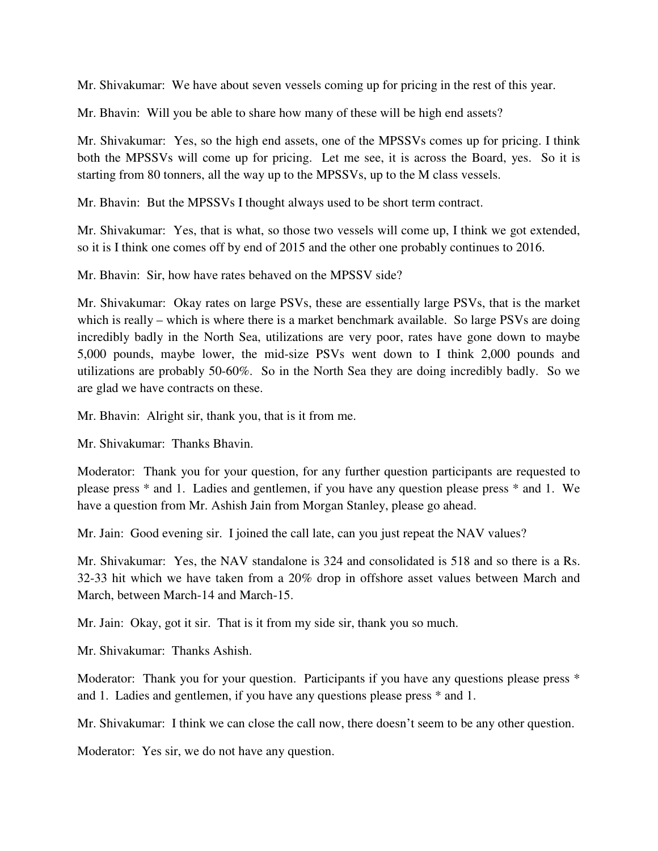Mr. Shivakumar: We have about seven vessels coming up for pricing in the rest of this year.

Mr. Bhavin: Will you be able to share how many of these will be high end assets?

Mr. Shivakumar: Yes, so the high end assets, one of the MPSSVs comes up for pricing. I think both the MPSSVs will come up for pricing. Let me see, it is across the Board, yes. So it is starting from 80 tonners, all the way up to the MPSSVs, up to the M class vessels.

Mr. Bhavin: But the MPSSVs I thought always used to be short term contract.

Mr. Shivakumar: Yes, that is what, so those two vessels will come up, I think we got extended, so it is I think one comes off by end of 2015 and the other one probably continues to 2016.

Mr. Bhavin: Sir, how have rates behaved on the MPSSV side?

Mr. Shivakumar: Okay rates on large PSVs, these are essentially large PSVs, that is the market which is really – which is where there is a market benchmark available. So large PSVs are doing incredibly badly in the North Sea, utilizations are very poor, rates have gone down to maybe 5,000 pounds, maybe lower, the mid-size PSVs went down to I think 2,000 pounds and utilizations are probably 50-60%. So in the North Sea they are doing incredibly badly. So we are glad we have contracts on these.

Mr. Bhavin: Alright sir, thank you, that is it from me.

Mr. Shivakumar: Thanks Bhavin.

Moderator: Thank you for your question, for any further question participants are requested to please press \* and 1. Ladies and gentlemen, if you have any question please press \* and 1. We have a question from Mr. Ashish Jain from Morgan Stanley, please go ahead.

Mr. Jain: Good evening sir. I joined the call late, can you just repeat the NAV values?

Mr. Shivakumar: Yes, the NAV standalone is 324 and consolidated is 518 and so there is a Rs. 32-33 hit which we have taken from a 20% drop in offshore asset values between March and March, between March-14 and March-15.

Mr. Jain: Okay, got it sir. That is it from my side sir, thank you so much.

Mr. Shivakumar: Thanks Ashish.

Moderator: Thank you for your question. Participants if you have any questions please press \* and 1. Ladies and gentlemen, if you have any questions please press \* and 1.

Mr. Shivakumar: I think we can close the call now, there doesn't seem to be any other question.

Moderator: Yes sir, we do not have any question.